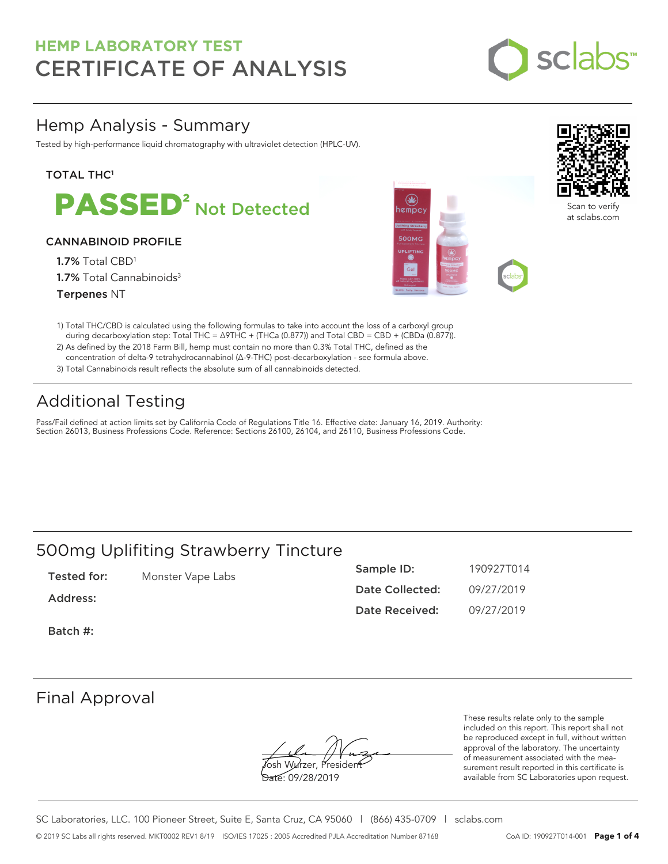

### Hemp Analysis - Summary

Tested by high-performance liquid chromatography with ultraviolet detection (HPLC-UV).

#### **TOTAL THC1**



#### CANNABINOID PROFILE

1.7% Total CBD<sup>1</sup> 1.7% Total Cannabinoids<sup>3</sup> Terpenes NT





an to verify: at sclabs.com

- 1) Total THC/CBD is calculated using the following formulas to take into account the loss of a carboxyl group during decarboxylation step: Total THC = ∆9THC + (THCa (0.877)) and Total CBD = CBD + (CBDa (0.877)).
- 2) As defined by the 2018 Farm Bill, hemp must contain no more than 0.3% Total THC, defined as the concentration of delta-9 tetrahydrocannabinol (Δ-9-THC) post-decarboxylation - see formula above.
- 3) Total Cannabinoids result reflects the absolute sum of all cannabinoids detected.

## Additional Testing

Pass/Fail defined at action limits set by California Code of Regulations Title 16. Effective date: January 16, 2019. Authority: Section 26013, Business Professions Code. Reference: Sections 26100, 26104, and 26110, Business Professions Code.

### 500mg Uplifiting Strawberry Tincture

| Tested for: | Monster Vape Labs | Sample ID:      | 190927T014 |
|-------------|-------------------|-----------------|------------|
| Address:    |                   | Date Collected: | 09/27/2019 |
|             |                   | Date Received:  | 09/27/2019 |
| Batch #:    |                   |                 |            |

### Final Approval

**J**osh Wurzer, Presiden<del>t</del> Date: 09/28/2019

These results relate only to the sample included on this report. This report shall not be reproduced except in full, without written approval of the laboratory. The uncertainty of measurement associated with the measurement result reported in this certificate is available from SC Laboratories upon request.

SC Laboratories, LLC. 100 Pioneer Street, Suite E, Santa Cruz, CA 95060 | (866) 435-0709 | sclabs.com © 2019 SC Labs all rights reserved. MKT0002 REV1 8/19 ISO/IES 17025 : 2005 Accredited PJLA Accreditation Number 87168 CoA ID: 190927T014-001 **Page 1 of 4**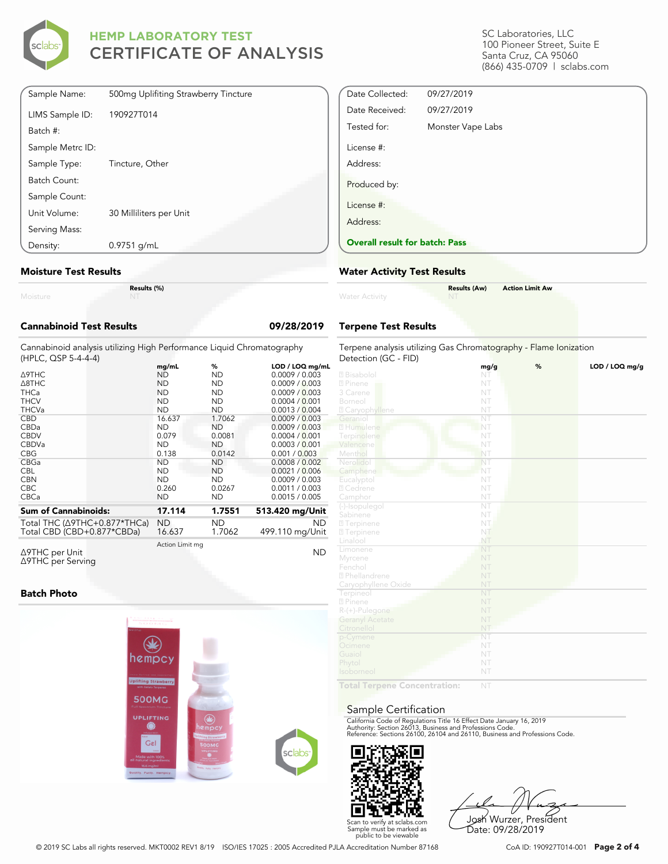

| Sample Name:     | 500mg Uplifiting Strawberry Tincture |
|------------------|--------------------------------------|
| LIMS Sample ID:  | 190927T014                           |
| Batch #:         |                                      |
| Sample Metrc ID: |                                      |
| Sample Type:     | Tincture, Other                      |
| Batch Count:     |                                      |
| Sample Count:    |                                      |
| Unit Volume:     | 30 Milliliters per Unit              |
| Serving Mass:    |                                      |
| Density:         | $0.9751$ g/mL                        |

#### **Moisture Test Results**

|          | Res |
|----------|-----|
| Moisture |     |

**Results (%)**

| <b>Cannabinoid Test Results</b>                                                              |                 |           | 09/28/2019      |  |  |  |
|----------------------------------------------------------------------------------------------|-----------------|-----------|-----------------|--|--|--|
| Cannabinoid analysis utilizing High Performance Liquid Chromatography<br>(HPLC, QSP 5-4-4-4) |                 |           |                 |  |  |  |
|                                                                                              | mg/mL           | %         | LOD / LOQ mg/mL |  |  |  |
| <b>A9THC</b>                                                                                 | <b>ND</b>       | <b>ND</b> | 0.0009 / 0.003  |  |  |  |
| A8THC                                                                                        | <b>ND</b>       | <b>ND</b> | 0.0009 / 0.003  |  |  |  |
| <b>THCa</b>                                                                                  | <b>ND</b>       | <b>ND</b> | 0.0009 / 0.003  |  |  |  |
| <b>THCV</b>                                                                                  | <b>ND</b>       | <b>ND</b> | 0.0004 / 0.001  |  |  |  |
| <b>THCVa</b>                                                                                 | <b>ND</b>       | <b>ND</b> | 0.0013 / 0.004  |  |  |  |
| <b>CBD</b>                                                                                   | 16.637          | 1.7062    | 0.0009 / 0.003  |  |  |  |
| CBDa                                                                                         | <b>ND</b>       | <b>ND</b> | 0.0009 / 0.003  |  |  |  |
| <b>CBDV</b>                                                                                  | 0.079           | 0.0081    | 0.0004 / 0.001  |  |  |  |
| CBDVa                                                                                        | <b>ND</b>       | <b>ND</b> | 0.0003 / 0.001  |  |  |  |
| <b>CBG</b>                                                                                   | 0.138           | 0.0142    | 0.001 / 0.003   |  |  |  |
| CBGa                                                                                         | <b>ND</b>       | <b>ND</b> | 0.0008 / 0.002  |  |  |  |
| <b>CBL</b>                                                                                   | <b>ND</b>       | ND.       | 0.0021 / 0.006  |  |  |  |
| <b>CBN</b>                                                                                   | <b>ND</b>       | <b>ND</b> | 0.0009 / 0.003  |  |  |  |
| CBC.                                                                                         | 0.260           | 0.0267    | 0.0011 / 0.003  |  |  |  |
| <b>CBCa</b>                                                                                  | <b>ND</b>       | ND.       | 0.0015 / 0.005  |  |  |  |
| <b>Sum of Cannabinoids:</b>                                                                  | 17.114          | 1.7551    | 513.420 mg/Unit |  |  |  |
| Total THC (∆9THC+0.877*THCa)                                                                 | <b>ND</b>       | <b>ND</b> | <b>ND</b>       |  |  |  |
| Total CBD (CBD+0.877*CBDa)                                                                   | 16.637          | 1.7062    | 499.110 mg/Unit |  |  |  |
| $\triangle$ 9THC per Unit<br>∆9THC per Serving                                               | Action Limit mg |           | <b>ND</b>       |  |  |  |

#### **Batch Photo**



SC Laboratories, LLC 100 Pioneer Street, Suite E Santa Cruz, CA 95060 (866) 435-0709 | sclabs.com

| Date Collected:                       | 09/27/2019        |
|---------------------------------------|-------------------|
| Date Received:                        | 09/27/2019        |
| Tested for:                           | Monster Vape Labs |
| License #:                            |                   |
| Address:                              |                   |
| Produced by:                          |                   |
| License #:                            |                   |
| Address:                              |                   |
| <b>Overall result for batch: Pass</b> |                   |

#### **Water Activity Test Results**

| <b>Water Activity</b> | <b>Results (Aw)</b><br><b>NT</b> | <b>Action Limit Aw</b> |
|-----------------------|----------------------------------|------------------------|
|                       |                                  |                        |

#### **Terpene Test Results**

| Terpene analysis utilizing Gas Chromatography - Flame Ionization<br>Detection (GC - FID) |                        |   |                |  |
|------------------------------------------------------------------------------------------|------------------------|---|----------------|--|
|                                                                                          | mg/g                   | % | LOD / LOQ mg/g |  |
| 2 Bisabolol                                                                              | NT                     |   |                |  |
| 2 Pinene                                                                                 | NT                     |   |                |  |
| 3 Carene                                                                                 | NT                     |   |                |  |
| Borneol                                                                                  | NT                     |   |                |  |
| 2 Caryophyllene                                                                          | NT                     |   |                |  |
| Geraniol                                                                                 | ÑT                     |   |                |  |
| 2 Humulene                                                                               | NT                     |   |                |  |
| Terpinolene                                                                              | NT                     |   |                |  |
| Valencene                                                                                | NT                     |   |                |  |
| Menthol                                                                                  | NT                     |   |                |  |
| Nerolidol                                                                                | NT                     |   |                |  |
| Camphene                                                                                 | NT                     |   |                |  |
| Eucalyptol                                                                               | NT                     |   |                |  |
| 2 Cedrene                                                                                | NT                     |   |                |  |
| Camphor                                                                                  | NT                     |   |                |  |
| (-)-Isopulegol                                                                           | $\overline{\text{NT}}$ |   |                |  |
| Sabinene                                                                                 | NT                     |   |                |  |
| 27 Terpinene                                                                             | NT.                    |   |                |  |
| 2 Terpinene                                                                              | NT                     |   |                |  |
| Linalool                                                                                 | NT                     |   |                |  |
| Limonene                                                                                 | NT                     |   |                |  |
| Myrcene                                                                                  | NT                     |   |                |  |
| Fenchol                                                                                  | NT                     |   |                |  |
| <sup>2</sup> Phellandrene                                                                | NT                     |   |                |  |
| Caryophyllene Oxide                                                                      | NT                     |   |                |  |
| Terpineol                                                                                | NT                     |   |                |  |
| 2 Pinene                                                                                 | NT                     |   |                |  |
| $R-(+)$ -Pulegone                                                                        | NT                     |   |                |  |
| <b>Geranyl Acetate</b>                                                                   | NT                     |   |                |  |
| Citronellol                                                                              | NT                     |   |                |  |
| p-Cymene                                                                                 | NT                     |   |                |  |
| Ocimene                                                                                  | NT                     |   |                |  |
| Guaiol                                                                                   | NT                     |   |                |  |
| Phytol                                                                                   | NT                     |   |                |  |
| Isoborneol                                                                               | NT                     |   |                |  |
| Total Ternene Concentration:                                                             | NIT                    |   |                |  |

**Total Terpene Concentration:**

#### Sample Certification

California Code of Regulations Title 16 Effect Date January 16, 2019<br>Authority: Section 26013, Business and Professions Code.<br>Reference: Sections 26100, 26104 and 26110, Business and Professions Code.



Josh Wurzer, President Date: 09/28/2019

© 2019 SC Labs all rights reserved. MKT0002 REV1 8/19 ISO/IES 17025 : 2005 Accredited PJLA Accreditation Number 87168 CoA ID: 190927T014-001 **Page 2 of 4**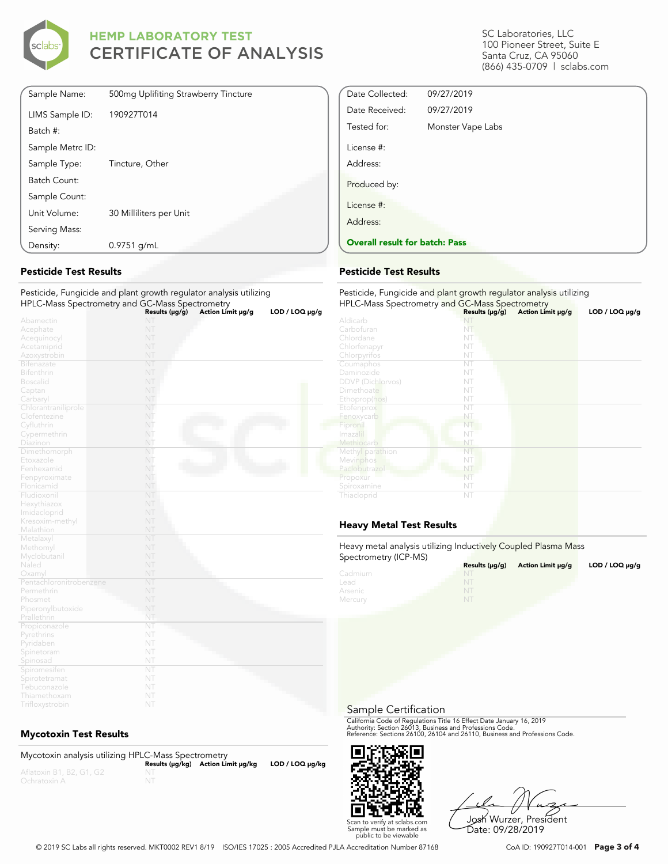

| Sample Name:     | 500mg Uplifiting Strawberry Tincture |
|------------------|--------------------------------------|
| LIMS Sample ID:  | 190927T014                           |
| Batch #:         |                                      |
| Sample Metrc ID: |                                      |
| Sample Type:     | Tincture, Other                      |
| Batch Count:     |                                      |
| Sample Count:    |                                      |
| Unit Volume:     | 30 Milliliters per Unit              |
| Serving Mass:    |                                      |
| Density:         | $0.9751$ g/mL                        |

#### **Pesticide Test Results**

#### Pesticide, Fungicide and plant growth regulator analysis utilizing HPLC-Mass Spectrometry and GC-Mass Spectrometry

|                         | Results ( $\mu$ g/g) | Action Limit µg/g | LOD / LOO µg/g |
|-------------------------|----------------------|-------------------|----------------|
| Abamectin               | NT                   |                   |                |
| Acephate                | NT                   |                   |                |
| Acequinocyl             | NT                   |                   |                |
| Acetamiprid             | NT                   |                   |                |
| Azoxystrobin            | NT                   |                   |                |
| Bifenazate              | NT                   |                   |                |
| Bifenthrin              | NT                   |                   |                |
| <b>Boscalid</b>         | NT                   |                   |                |
| Captan                  | NT                   |                   |                |
| Carbaryl                | NT                   |                   |                |
| Chlorantraniliprole     | NT                   |                   |                |
| Clofentezine            | NT                   |                   |                |
| Cyfluthrin              | NT                   |                   |                |
| Cypermethrin            | NT                   |                   |                |
| Diazinon                | NT                   |                   |                |
| Dimethomorph            | NT                   |                   |                |
| Etoxazole               | NT                   |                   |                |
| Fenhexamid              | NT                   |                   |                |
| Fenpyroximate           | NT                   |                   |                |
| Flonicamid              | NT                   |                   |                |
| Fludioxonil             | NT                   |                   |                |
| Hexythiazox             | NT                   |                   |                |
| Imidacloprid            | NT                   |                   |                |
| Kresoxim-methyl         | NT                   |                   |                |
| Malathion               | NT                   |                   |                |
| Metalaxyl               | NT                   |                   |                |
| Methomyl                | NT                   |                   |                |
| Myclobutanil            | NT                   |                   |                |
| Naled                   | NT                   |                   |                |
| Oxamyl                  | NT                   |                   |                |
| Pentachloronitrobenzene | NT                   |                   |                |
| Permethrin              | NT                   |                   |                |
| Phosmet                 | NT                   |                   |                |
| Piperonylbutoxide       | NT                   |                   |                |
| Prallethrin             | NT                   |                   |                |
| Propiconazole           | NT                   |                   |                |
| Pyrethrins              | NT                   |                   |                |
| Pyridaben               | NT                   |                   |                |
| Spinetoram              | NT                   |                   |                |
| Spinosad                | NT                   |                   |                |
| Spiromesifen            | NT                   |                   |                |
| Spirotetramat           | NT                   |                   |                |
| Tebuconazole            | NT                   |                   |                |
| Thiamethoxam            | NT                   |                   |                |

#### **Mycotoxin Test Results**

| Mycotoxin analysis utilizing HPLC-Mass Spectrometry |                                    |                      |
|-----------------------------------------------------|------------------------------------|----------------------|
|                                                     | Results (µq/kq) Action Limit µq/kq | $LOD / LOQ \mu g/kg$ |
| Aflatoxin B1, B2, G1, G2                            |                                    |                      |
| Ochratoxin A                                        |                                    |                      |

SC Laboratories, LLC 100 Pioneer Street, Suite E Santa Cruz, CA 95060 (866) 435-0709 | sclabs.com

| Date Collected:                       | 09/27/2019        |  |
|---------------------------------------|-------------------|--|
| Date Received:                        | 09/27/2019        |  |
| Tested for:                           | Monster Vape Labs |  |
| License #:                            |                   |  |
| Address:                              |                   |  |
| Produced by:                          |                   |  |
| License #:                            |                   |  |
| Address:                              |                   |  |
| <b>Overall result for batch: Pass</b> |                   |  |

#### **Pesticide Test Results**

| Pesticide, Fungicide and plant growth regulator analysis utilizing<br>HPLC-Mass Spectrometry and GC-Mass Spectrometry |                     |                   |                     |  |
|-----------------------------------------------------------------------------------------------------------------------|---------------------|-------------------|---------------------|--|
|                                                                                                                       | Results $(\mu g/g)$ | Action Limit µg/g | $LOD / LOQ \mu g/g$ |  |
| Aldicarb                                                                                                              | NI                  |                   |                     |  |
| Carbofuran                                                                                                            | NT                  |                   |                     |  |
| Chlordane                                                                                                             | NT                  |                   |                     |  |
| Chlorfenapyr                                                                                                          | NT                  |                   |                     |  |
| Chlorpyrifos                                                                                                          | NT                  |                   |                     |  |
| Coumaphos                                                                                                             | NT                  |                   |                     |  |
| Daminozide                                                                                                            | NT                  |                   |                     |  |
| <b>DDVP</b> (Dichlorvos)                                                                                              | NT                  |                   |                     |  |
| Dimethoate                                                                                                            | NT                  |                   |                     |  |
| Ethoprop(hos)                                                                                                         | NT                  |                   |                     |  |
| Etofenprox                                                                                                            | NT                  |                   |                     |  |
| Fenoxycarb                                                                                                            | NT                  |                   |                     |  |
| Fipronil                                                                                                              | NT                  |                   |                     |  |
| Imazalil                                                                                                              | NT                  |                   |                     |  |
| Methiocarb                                                                                                            | NT                  |                   |                     |  |
| Methyl parathion                                                                                                      | NT                  |                   |                     |  |
| Mevinphos                                                                                                             | NT                  |                   |                     |  |
| Paclobutrazol                                                                                                         | NT                  |                   |                     |  |
| Propoxur                                                                                                              | NT                  |                   |                     |  |
| Spiroxamine                                                                                                           | NT                  |                   |                     |  |
| Thiacloprid                                                                                                           | NT                  |                   |                     |  |

#### **Heavy Metal Test Results**

Heavy metal analysis utilizing Inductively Coupled Plasma Mass Spectrometry (ICP-MS)

| $\sigma$ | Results $(\mu q/q)$ | Action Limit µg/g | $LOD / LOQ \mu q/q$ |
|----------|---------------------|-------------------|---------------------|
| Cadmium  |                     |                   |                     |
| Lead     | NT                  |                   |                     |
| Arsenic  | NI                  |                   |                     |
| Mercury  |                     |                   |                     |

Sample Certification

California Code of Regulations Title 16 Effect Date January 16, 2019<br>Authority: Section 26013, Business and Professions Code.<br>Reference: Sections 26100, 26104 and 26110, Business and Professions Code.



Josh Wurzer, President Date: 09/28/2019

© 2019 SC Labs all rights reserved. MKT0002 REV1 8/19 ISO/IES 17025 : 2005 Accredited PJLA Accreditation Number 87168 CoA ID: 190927T014-001 **Page 3 of 4**